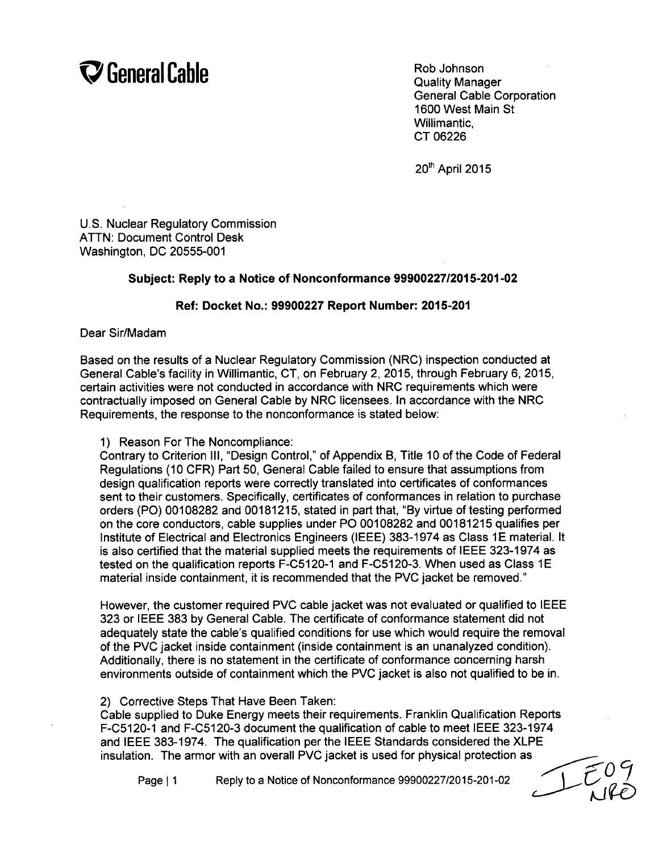# **Of General Cable** Rob Johnson

Quality Manager General Cable Corporation 1600 West Main St Willimantic, CT 06226

20<sup>th</sup> April 2015

U.S. Nuclear Regulatory Commission ATTN: Document Control Desk Washington, DC 20555-001

#### Subject: Reply to a Notice of Nonconformance **99900227/2015-201-02**

#### Ref: Docket No.: **99900227** Report Number: **2015-201**

Dear Sir/Madam

Based on the results of a Nuclear Regulatory Commission (NRC) inspection conducted at General Cable's facility in Willimantic, CT, on February 2, 2015, through February 6, 2015, certain activities were not conducted in accordance with NRC requirements which were contractually imposed on General Cable by NRC licensees. In accordance with the NRC Requirements, the response to the nonconformance is stated below:

1) Reason For The Noncompliance:

Contrary to Criterion Ill, "Design Control," of Appendix B, Title 10 of the Code of Federal Regulations (10 CFR) Part 50, General Cable failed to ensure that assumptions from design qualification reports were correctly translated into certificates of conformances sent to their customers. Specifically, certificates of conformances in relation to purchase orders (PO) 00108282 and 00181215, stated in part that, "By virtue of testing performed on the core conductors, cable supplies under PO 00108282 and 00181215 qualifies per Institute of Electrical and Electronics Engineers (IEEE) 383-1974 as Class **1E** material. It is also certified that the material supplied meets the requirements of IEEE 323-1974 as tested on the qualification reports F-C5120-1 and F-C5120-3. When used as Class **1E** material inside containment, it is recommended that the PVC jacket be removed."

However, the customer required PVC cable jacket was not evaluated or qualified to IEEE 323 or IEEE 383 by General Cable. The certificate of conformance statement did not adequately state the cable's qualified conditions for use which would require the removal of the PVC jacket inside containment (inside containment is an unanalyzed condition). Additionally, there is no statement in the certificate of conformance concerning harsh environments outside of containment which the PVC jacket is also not qualified to be in.

2) Corrective Steps That Have Been Taken:

Cable supplied to Duke Energy meets their requirements. Franklin Qualification Reports F-C5120-1 and F-C5120-3 document the qualification of cable to meet IEEE 323-1974 and IEEE 383-1974. The qualification per the IEEE Standards considered the XLPE insulation. The armor with an overall PVC jacket is used for physical protection as

Page **11** Reply to a Notice of Nonconformance 99900227/2015-201-02

**C7**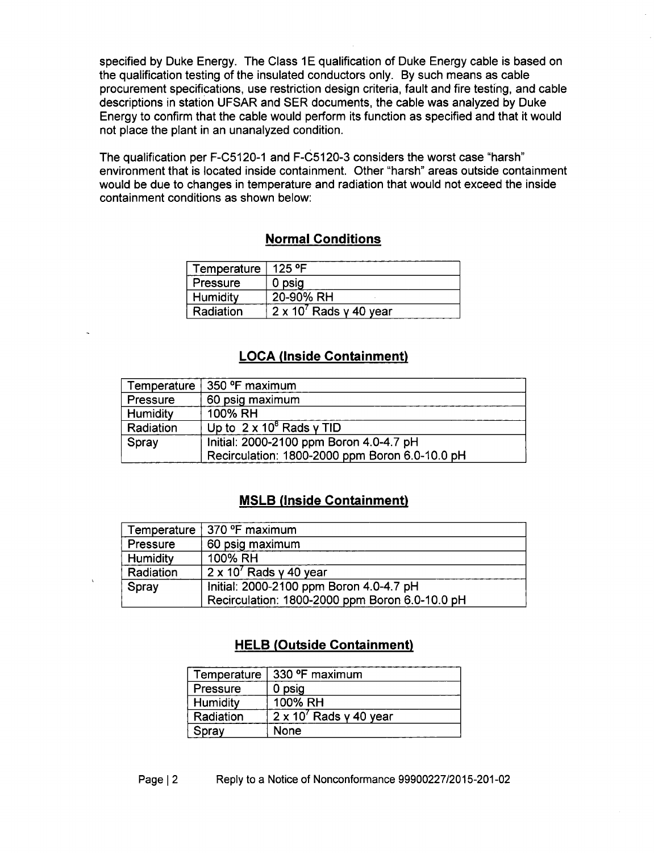specified by Duke Energy. The Class 1E qualification of Duke Energy cable is based on the qualification testing of the insulated conductors only. By such means as cable procurement specifications, use restriction design criteria, fault and fire testing, and cable descriptions in station UFSAR and SER documents, the cable was analyzed by Duke Energy to confirm that the cable would perform its function as specified and that it would not place the plant in an unanalyzed condition.

The qualification per F-C5120-1 and F-C5120-3 considers the worst case "harsh" environment that is located inside containment. Other "harsh" areas outside containment would be due to changes in temperature and radiation that would not exceed the inside containment conditions as shown below:

## Normal Conditions

| Temperature   125 °F |                                |
|----------------------|--------------------------------|
| Pressure             | 0 psig                         |
| Humidity             | 20-90% RH                      |
| Radiation            | $2 \times 10^7$ Rads y 40 year |

### **LOCA** (Inside Containment)

| Temperature | $\vert$ 350 °F maximum                         |  |
|-------------|------------------------------------------------|--|
| Pressure    | 60 psig maximum                                |  |
| Humidity    | 100% RH                                        |  |
| Radiation   | Up to $2 \times 10^8$ Rads y TID               |  |
| Spray       | Initial: 2000-2100 ppm Boron 4.0-4.7 pH        |  |
|             | Recirculation: 1800-2000 ppm Boron 6.0-10.0 pH |  |

#### MSLB (Inside Containment)

|           | Temperature   370 °F maximum                   |  |
|-----------|------------------------------------------------|--|
| Pressure  | 60 psig maximum                                |  |
| Humidity  | 100% RH                                        |  |
| Radiation | $2 \times 10^7$ Rads y 40 year                 |  |
| Spray     | Initial: 2000-2100 ppm Boron 4.0-4.7 pH        |  |
|           | Recirculation: 1800-2000 ppm Boron 6.0-10.0 pH |  |

## HELB (Outside Containment)

| Temperature | 330 °F maximum                 |
|-------------|--------------------------------|
| Pressure    | 0 psig                         |
| Humidity    | 100% RH                        |
| Radiation   | $2 \times 10^7$ Rads y 40 year |
| Spray       | None                           |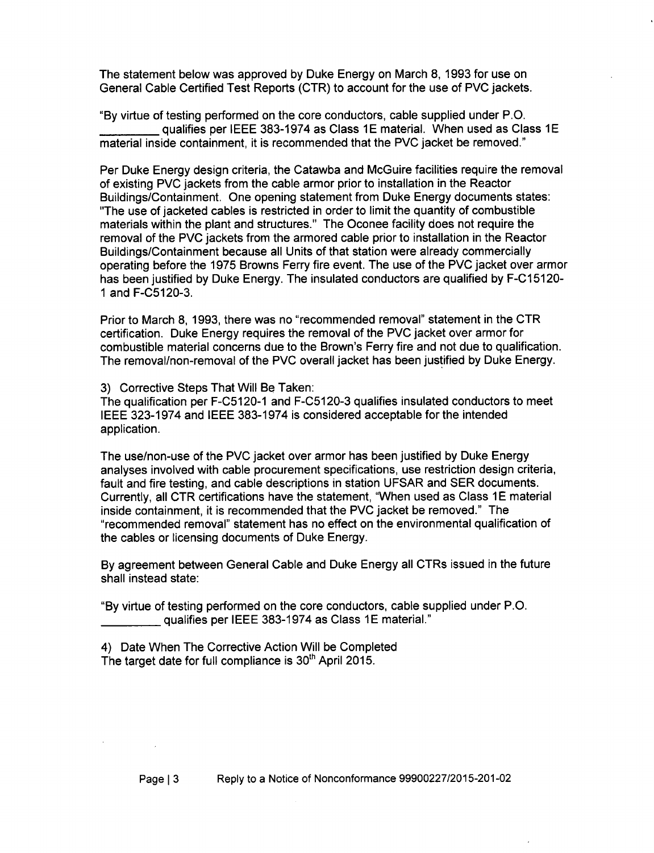The statement below was approved by Duke Energy on March 8, 1993 for use on General Cable Certified Test Reports (CTR) to account for the use of PVC jackets.

"By virtue of testing performed on the core conductors, cable supplied under P.O. **'** qualifies per IEEE 383-1974 as Class **1E** material. When used as Class **1E** material inside containment, it is recommended that the PVC jacket be removed."

Per Duke Energy design criteria, the Catawba and McGuire facilities require the removal of existing PVC jackets from the cable armor prior to installation in the Reactor Buildings/Containment. One opening statement from Duke Energy documents states: "The use of jacketed cables is restricted in order to limit the quantity of combustible materials within the plant and structures." The Oconee facility does not require the removal of the PVC jackets from the armored cable prior to installation in the Reactor Buildings/Containment because all Units of that station were already commercially operating before the 1975 Browns Ferry fire event. The use of the PVC jacket over armor has been justified by Duke Energy. The insulated conductors are qualified by F-C15120- **1** and F-C5120-3.

Prior to March 8, 1993, there was no "recommended removal" statement in the CTR certification. Duke Energy requires the removal of the PVC jacket over armor for combustible material concerns due to the Brown's Ferry fire and not due to qualification. The removal/non-removal of the PVC overall jacket has been justified by Duke Energy.

3) Corrective Steps That Will Be Taken:

The qualification per F-C5120-1 and F-C5120-3 qualifies insulated conductors to meet IEEE 323-1974 and IEEE 383-1974 is considered acceptable for the intended application.

The use/non-use of the PVC jacket over armor has been justified by Duke Energy analyses involved with cable procurement specifications, use restriction design criteria, fault and fire testing, and cable descriptions in station UFSAR and SER documents. Currently, all CTR certifications have the statement, "When used as Class 1E material inside containment, it is recommended that the PVC jacket be removed." The "recommended removal" statement has no effect on the environmental qualification of the cables or licensing documents of Duke Energy.

By agreement between General Cable and Duke Energy all CTRs issued in the future shall instead state:

"By virtue of testing performed on the core conductors, cable supplied under P.O. qualifies per IEEE 383-1974 as Class **1E** material."

4) Date When The Corrective Action Will be Completed The target date for full compliance is  $30<sup>th</sup>$  April 2015.